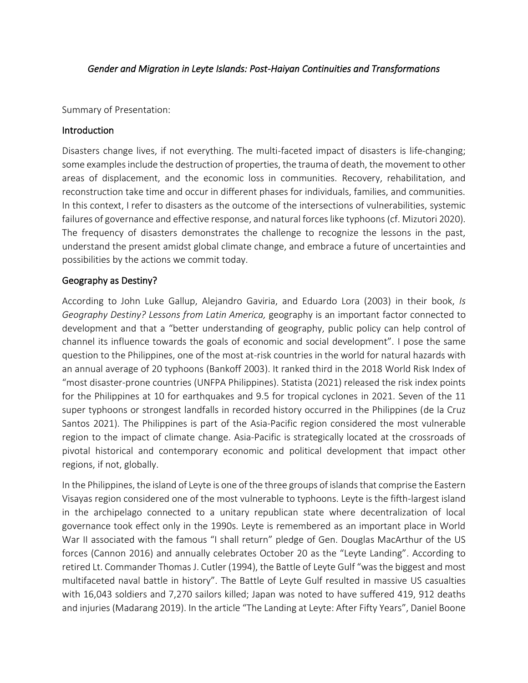# *Gender and Migration in Leyte Islands: Post-Haiyan Continuities and Transformations*

Summary of Presentation:

## **Introduction**

Disasters change lives, if not everything. The multi-faceted impact of disasters is life-changing; some examples include the destruction of properties, the trauma of death, the movement to other areas of displacement, and the economic loss in communities. Recovery, rehabilitation, and reconstruction take time and occur in different phases for individuals, families, and communities. In this context, I refer to disasters as the outcome of the intersections of vulnerabilities, systemic failures of governance and effective response, and natural forces like typhoons (cf. Mizutori 2020). The frequency of disasters demonstrates the challenge to recognize the lessons in the past, understand the present amidst global climate change, and embrace a future of uncertainties and possibilities by the actions we commit today.

# Geography as Destiny?

According to John Luke Gallup, Alejandro Gaviria, and Eduardo Lora (2003) in their book, *Is Geography Destiny? Lessons from Latin America,* geography is an important factor connected to development and that a "better understanding of geography, public policy can help control of channel its influence towards the goals of economic and social development". I pose the same question to the Philippines, one of the most at-risk countries in the world for natural hazards with an annual average of 20 typhoons (Bankoff 2003). It ranked third in the 2018 World Risk Index of "most disaster-prone countries (UNFPA Philippines). Statista (2021) released the risk index points for the Philippines at 10 for earthquakes and 9.5 for tropical cyclones in 2021. Seven of the 11 super typhoons or strongest landfalls in recorded history occurred in the Philippines (de la Cruz Santos 2021). The Philippines is part of the Asia-Pacific region considered the most vulnerable region to the impact of climate change. Asia-Pacific is strategically located at the crossroads of pivotal historical and contemporary economic and political development that impact other regions, if not, globally.

In the Philippines, the island of Leyte is one of the three groups of islands that comprise the Eastern Visayas region considered one of the most vulnerable to typhoons. Leyte is the fifth-largest island in the archipelago connected to a unitary republican state where decentralization of local governance took effect only in the 1990s. Leyte is remembered as an important place in World War II associated with the famous "I shall return" pledge of Gen. Douglas MacArthur of the US forces (Cannon 2016) and annually celebrates October 20 as the "Leyte Landing". According to retired Lt. Commander Thomas J. Cutler (1994), the Battle of Leyte Gulf "was the biggest and most multifaceted naval battle in history". The Battle of Leyte Gulf resulted in massive US casualties with 16,043 soldiers and 7,270 sailors killed; Japan was noted to have suffered 419, 912 deaths and injuries (Madarang 2019). In the article "The Landing at Leyte: After Fifty Years", Daniel Boone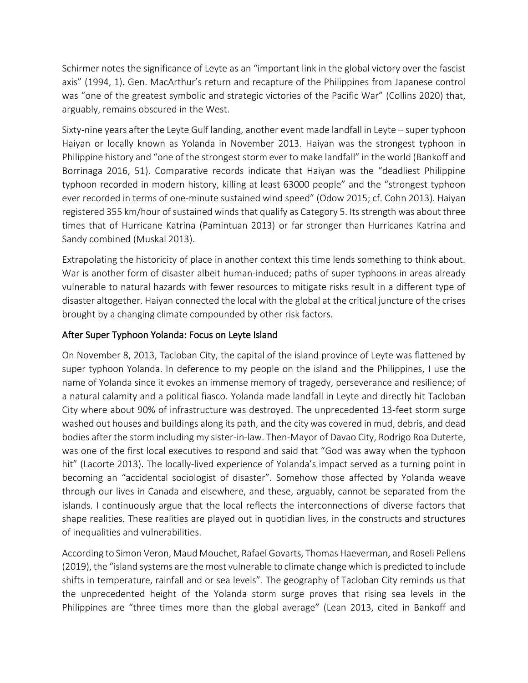Schirmer notes the significance of Leyte as an "important link in the global victory over the fascist axis" (1994, 1). Gen. MacArthur's return and recapture of the Philippines from Japanese control was "one of the greatest symbolic and strategic victories of the Pacific War" (Collins 2020) that, arguably, remains obscured in the West.

Sixty-nine years after the Leyte Gulf landing, another event made landfall in Leyte – super typhoon Haiyan or locally known as Yolanda in November 2013. Haiyan was the strongest typhoon in Philippine history and "one of the strongest storm ever to make landfall" in the world (Bankoff and Borrinaga 2016, 51). Comparative records indicate that Haiyan was the "deadliest Philippine typhoon recorded in modern history, killing at least 63000 people" and the "strongest typhoon ever recorded in terms of one-minute sustained wind speed" (Odow 2015; cf. Cohn 2013). Haiyan registered 355 km/hour of sustained winds that qualify as Category 5. Its strength was about three times that of Hurricane Katrina (Pamintuan 2013) or far stronger than Hurricanes Katrina and Sandy combined (Muskal 2013).

Extrapolating the historicity of place in another context this time lends something to think about. War is another form of disaster albeit human-induced; paths of super typhoons in areas already vulnerable to natural hazards with fewer resources to mitigate risks result in a different type of disaster altogether. Haiyan connected the local with the global at the critical juncture of the crises brought by a changing climate compounded by other risk factors.

# After Super Typhoon Yolanda: Focus on Leyte Island

On November 8, 2013, Tacloban City, the capital of the island province of Leyte was flattened by super typhoon Yolanda. In deference to my people on the island and the Philippines, I use the name of Yolanda since it evokes an immense memory of tragedy, perseverance and resilience; of a natural calamity and a political fiasco. Yolanda made landfall in Leyte and directly hit Tacloban City where about 90% of infrastructure was destroyed. The unprecedented 13-feet storm surge washed out houses and buildings along its path, and the city was covered in mud, debris, and dead bodies after the storm including my sister-in-law. Then-Mayor of Davao City, Rodrigo Roa Duterte, was one of the first local executives to respond and said that "God was away when the typhoon hit" (Lacorte 2013). The locally-lived experience of Yolanda's impact served as a turning point in becoming an "accidental sociologist of disaster". Somehow those affected by Yolanda weave through our lives in Canada and elsewhere, and these, arguably, cannot be separated from the islands. I continuously argue that the local reflects the interconnections of diverse factors that shape realities. These realities are played out in quotidian lives, in the constructs and structures of inequalities and vulnerabilities.

According to Simon Veron, Maud Mouchet, Rafael Govarts, Thomas Haeverman, and Roseli Pellens (2019), the "island systems are the most vulnerable to climate change which is predicted to include shifts in temperature, rainfall and or sea levels". The geography of Tacloban City reminds us that the unprecedented height of the Yolanda storm surge proves that rising sea levels in the Philippines are "three times more than the global average" (Lean 2013, cited in Bankoff and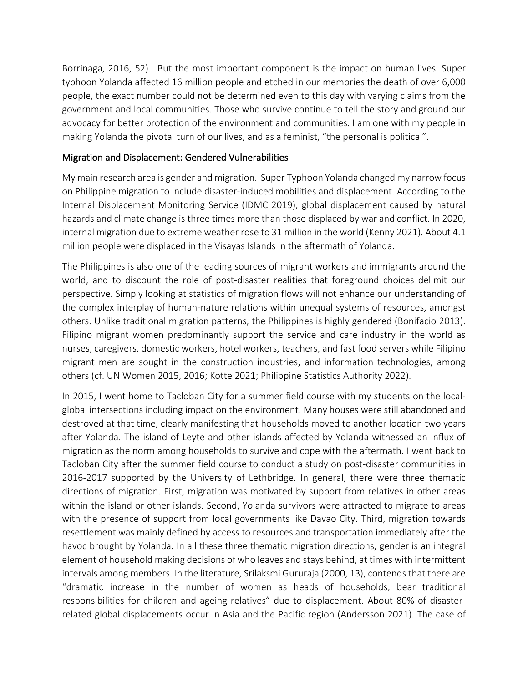Borrinaga, 2016, 52). But the most important component is the impact on human lives. Super typhoon Yolanda affected 16 million people and etched in our memories the death of over 6,000 people, the exact number could not be determined even to this day with varying claims from the government and local communities. Those who survive continue to tell the story and ground our advocacy for better protection of the environment and communities. I am one with my people in making Yolanda the pivotal turn of our lives, and as a feminist, "the personal is political".

## Migration and Displacement: Gendered Vulnerabilities

My main research area is gender and migration. Super Typhoon Yolanda changed my narrow focus on Philippine migration to include disaster-induced mobilities and displacement. According to the Internal Displacement Monitoring Service (IDMC 2019), global displacement caused by natural hazards and climate change is three times more than those displaced by war and conflict. In 2020, internal migration due to extreme weather rose to 31 million in the world (Kenny 2021). About 4.1 million people were displaced in the Visayas Islands in the aftermath of Yolanda.

The Philippines is also one of the leading sources of migrant workers and immigrants around the world, and to discount the role of post-disaster realities that foreground choices delimit our perspective. Simply looking at statistics of migration flows will not enhance our understanding of the complex interplay of human-nature relations within unequal systems of resources, amongst others. Unlike traditional migration patterns, the Philippines is highly gendered (Bonifacio 2013). Filipino migrant women predominantly support the service and care industry in the world as nurses, caregivers, domestic workers, hotel workers, teachers, and fast food servers while Filipino migrant men are sought in the construction industries, and information technologies, among others (cf. UN Women 2015, 2016; Kotte 2021; Philippine Statistics Authority 2022).

In 2015, I went home to Tacloban City for a summer field course with my students on the localglobal intersections including impact on the environment. Many houses were still abandoned and destroyed at that time, clearly manifesting that households moved to another location two years after Yolanda. The island of Leyte and other islands affected by Yolanda witnessed an influx of migration as the norm among households to survive and cope with the aftermath. I went back to Tacloban City after the summer field course to conduct a study on post-disaster communities in 2016-2017 supported by the University of Lethbridge. In general, there were three thematic directions of migration. First, migration was motivated by support from relatives in other areas within the island or other islands. Second, Yolanda survivors were attracted to migrate to areas with the presence of support from local governments like Davao City. Third, migration towards resettlement was mainly defined by access to resources and transportation immediately after the havoc brought by Yolanda. In all these three thematic migration directions, gender is an integral element of household making decisions of who leaves and stays behind, at times with intermittent intervals among members. In the literature, Srilaksmi Gururaja (2000, 13), contends that there are "dramatic increase in the number of women as heads of households, bear traditional responsibilities for children and ageing relatives" due to displacement. About 80% of disasterrelated global displacements occur in Asia and the Pacific region (Andersson 2021). The case of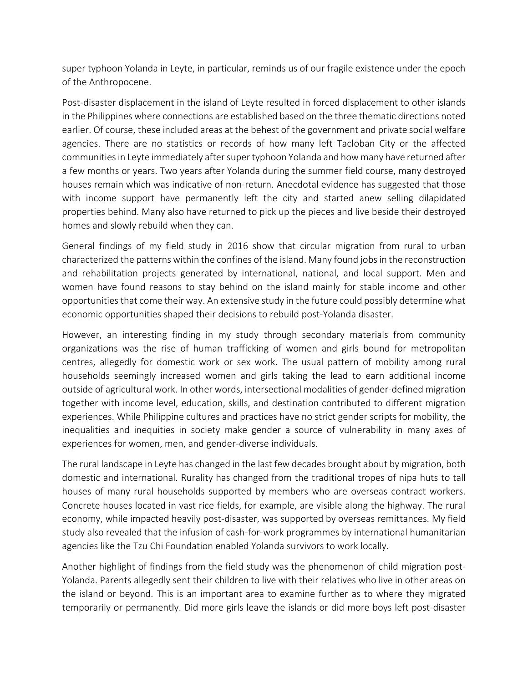super typhoon Yolanda in Leyte, in particular, reminds us of our fragile existence under the epoch of the Anthropocene.

Post-disaster displacement in the island of Leyte resulted in forced displacement to other islands in the Philippines where connections are established based on the three thematic directions noted earlier. Of course, these included areas at the behest of the government and private social welfare agencies. There are no statistics or records of how many left Tacloban City or the affected communities in Leyte immediately after super typhoon Yolanda and how many have returned after a few months or years. Two years after Yolanda during the summer field course, many destroyed houses remain which was indicative of non-return. Anecdotal evidence has suggested that those with income support have permanently left the city and started anew selling dilapidated properties behind. Many also have returned to pick up the pieces and live beside their destroyed homes and slowly rebuild when they can.

General findings of my field study in 2016 show that circular migration from rural to urban characterized the patterns within the confines of the island. Many found jobs in the reconstruction and rehabilitation projects generated by international, national, and local support. Men and women have found reasons to stay behind on the island mainly for stable income and other opportunities that come their way. An extensive study in the future could possibly determine what economic opportunities shaped their decisions to rebuild post-Yolanda disaster.

However, an interesting finding in my study through secondary materials from community organizations was the rise of human trafficking of women and girls bound for metropolitan centres, allegedly for domestic work or sex work. The usual pattern of mobility among rural households seemingly increased women and girls taking the lead to earn additional income outside of agricultural work. In other words, intersectional modalities of gender-defined migration together with income level, education, skills, and destination contributed to different migration experiences. While Philippine cultures and practices have no strict gender scripts for mobility, the inequalities and inequities in society make gender a source of vulnerability in many axes of experiences for women, men, and gender-diverse individuals.

The rural landscape in Leyte has changed in the last few decades brought about by migration, both domestic and international. Rurality has changed from the traditional tropes of nipa huts to tall houses of many rural households supported by members who are overseas contract workers. Concrete houses located in vast rice fields, for example, are visible along the highway. The rural economy, while impacted heavily post-disaster, was supported by overseas remittances. My field study also revealed that the infusion of cash-for-work programmes by international humanitarian agencies like the Tzu Chi Foundation enabled Yolanda survivors to work locally.

Another highlight of findings from the field study was the phenomenon of child migration post-Yolanda. Parents allegedly sent their children to live with their relatives who live in other areas on the island or beyond. This is an important area to examine further as to where they migrated temporarily or permanently. Did more girls leave the islands or did more boys left post-disaster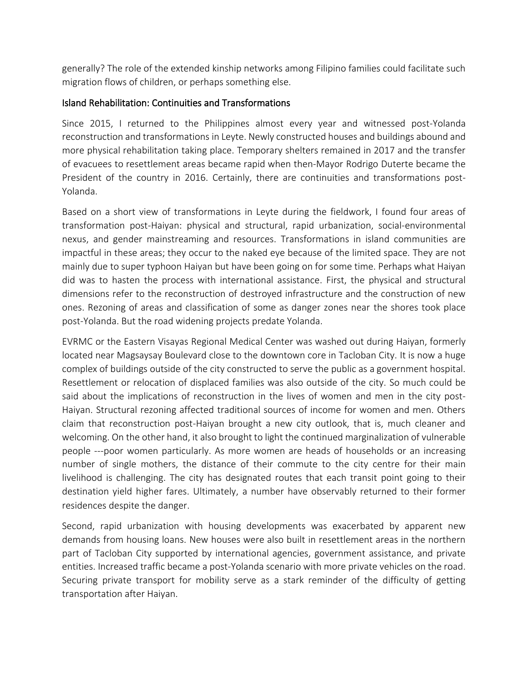generally? The role of the extended kinship networks among Filipino families could facilitate such migration flows of children, or perhaps something else.

## Island Rehabilitation: Continuities and Transformations

Since 2015, I returned to the Philippines almost every year and witnessed post-Yolanda reconstruction and transformations in Leyte. Newly constructed houses and buildings abound and more physical rehabilitation taking place. Temporary shelters remained in 2017 and the transfer of evacuees to resettlement areas became rapid when then-Mayor Rodrigo Duterte became the President of the country in 2016. Certainly, there are continuities and transformations post-Yolanda.

Based on a short view of transformations in Leyte during the fieldwork, I found four areas of transformation post-Haiyan: physical and structural, rapid urbanization, social-environmental nexus, and gender mainstreaming and resources. Transformations in island communities are impactful in these areas; they occur to the naked eye because of the limited space. They are not mainly due to super typhoon Haiyan but have been going on for some time. Perhaps what Haiyan did was to hasten the process with international assistance. First, the physical and structural dimensions refer to the reconstruction of destroyed infrastructure and the construction of new ones. Rezoning of areas and classification of some as danger zones near the shores took place post-Yolanda. But the road widening projects predate Yolanda.

EVRMC or the Eastern Visayas Regional Medical Center was washed out during Haiyan, formerly located near Magsaysay Boulevard close to the downtown core in Tacloban City. It is now a huge complex of buildings outside of the city constructed to serve the public as a government hospital. Resettlement or relocation of displaced families was also outside of the city. So much could be said about the implications of reconstruction in the lives of women and men in the city post-Haiyan. Structural rezoning affected traditional sources of income for women and men. Others claim that reconstruction post-Haiyan brought a new city outlook, that is, much cleaner and welcoming. On the other hand, it also brought to light the continued marginalization of vulnerable people ---poor women particularly. As more women are heads of households or an increasing number of single mothers, the distance of their commute to the city centre for their main livelihood is challenging. The city has designated routes that each transit point going to their destination yield higher fares. Ultimately, a number have observably returned to their former residences despite the danger.

Second, rapid urbanization with housing developments was exacerbated by apparent new demands from housing loans. New houses were also built in resettlement areas in the northern part of Tacloban City supported by international agencies, government assistance, and private entities. Increased traffic became a post-Yolanda scenario with more private vehicles on the road. Securing private transport for mobility serve as a stark reminder of the difficulty of getting transportation after Haiyan.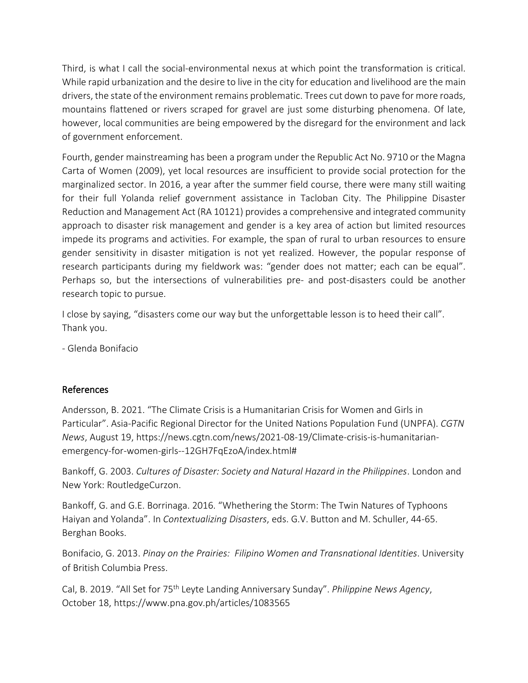Third, is what I call the social-environmental nexus at which point the transformation is critical. While rapid urbanization and the desire to live in the city for education and livelihood are the main drivers, the state of the environment remains problematic. Trees cut down to pave for more roads, mountains flattened or rivers scraped for gravel are just some disturbing phenomena. Of late, however, local communities are being empowered by the disregard for the environment and lack of government enforcement.

Fourth, gender mainstreaming has been a program under the Republic Act No. 9710 or the Magna Carta of Women (2009), yet local resources are insufficient to provide social protection for the marginalized sector. In 2016, a year after the summer field course, there were many still waiting for their full Yolanda relief government assistance in Tacloban City. The Philippine Disaster Reduction and Management Act (RA 10121) provides a comprehensive and integrated community approach to disaster risk management and gender is a key area of action but limited resources impede its programs and activities. For example, the span of rural to urban resources to ensure gender sensitivity in disaster mitigation is not yet realized. However, the popular response of research participants during my fieldwork was: "gender does not matter; each can be equal". Perhaps so, but the intersections of vulnerabilities pre- and post-disasters could be another research topic to pursue.

I close by saying, "disasters come our way but the unforgettable lesson is to heed their call". Thank you.

- Glenda Bonifacio

# References

Andersson, B. 2021. "The Climate Crisis is a Humanitarian Crisis for Women and Girls in Particular". Asia-Pacific Regional Director for the United Nations Population Fund (UNPFA). *CGTN News*, August 19, https://news.cgtn.com/news/2021-08-19/Climate-crisis-is-humanitarianemergency-for-women-girls--12GH7FqEzoA/index.html#

Bankoff, G. 2003. *Cultures of Disaster: Society and Natural Hazard in the Philippines*. London and New York: RoutledgeCurzon.

Bankoff, G. and G.E. Borrinaga. 2016. "Whethering the Storm: The Twin Natures of Typhoons Haiyan and Yolanda". In *Contextualizing Disasters*, eds. G.V. Button and M. Schuller, 44-65. Berghan Books.

Bonifacio, G. 2013. *Pinay on the Prairies: Filipino Women and Transnational Identities*. University of British Columbia Press.

Cal, B. 2019. "All Set for 75th Leyte Landing Anniversary Sunday". *Philippine News Agency*, October 18, https://www.pna.gov.ph/articles/1083565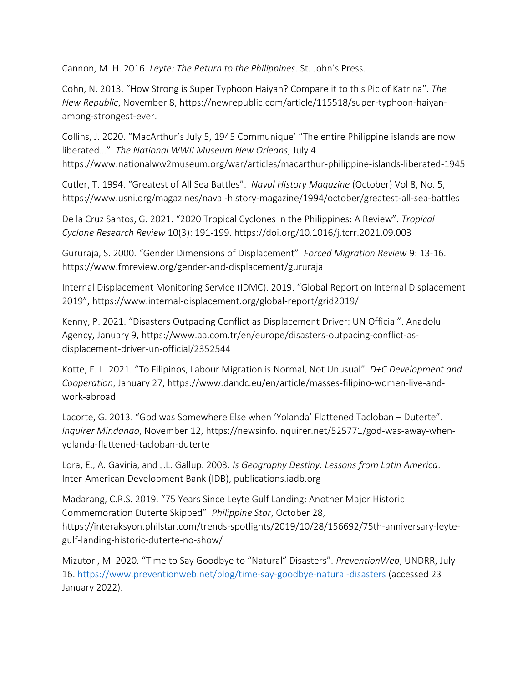Cannon, M. H. 2016. *Leyte: The Return to the Philippines*. St. John's Press.

Cohn, N. 2013. "How Strong is Super Typhoon Haiyan? Compare it to this Pic of Katrina". *The New Republic*, November 8, https://newrepublic.com/article/115518/super-typhoon-haiyanamong-strongest-ever.

Collins, J. 2020. "MacArthur's July 5, 1945 Communique' "The entire Philippine islands are now liberated…". *The National WWII Museum New Orleans*, July 4. https://www.nationalww2museum.org/war/articles/macarthur-philippine-islands-liberated-1945

Cutler, T. 1994. "Greatest of All Sea Battles". *Naval History Magazine* (October) Vol 8, No. 5, https://www.usni.org/magazines/naval-history-magazine/1994/october/greatest-all-sea-battles

De la Cruz Santos, G. 2021. "2020 Tropical Cyclones in the Philippines: A Review". *Tropical Cyclone Research Review* 10(3): 191-199. https://doi.org/10.1016/j.tcrr.2021.09.003

Gururaja, S. 2000. "Gender Dimensions of Displacement". *Forced Migration Review* 9: 13-16. https://www.fmreview.org/gender-and-displacement/gururaja

Internal Displacement Monitoring Service (IDMC). 2019. "Global Report on Internal Displacement 2019", https://www.internal-displacement.org/global-report/grid2019/

Kenny, P. 2021. "Disasters Outpacing Conflict as Displacement Driver: UN Official". Anadolu Agency, January 9, https://www.aa.com.tr/en/europe/disasters-outpacing-conflict-asdisplacement-driver-un-official/2352544

Kotte, E. L. 2021. "To Filipinos, Labour Migration is Normal, Not Unusual". *D+C Development and Cooperation*, January 27, https://www.dandc.eu/en/article/masses-filipino-women-live-andwork-abroad

Lacorte, G. 2013. "God was Somewhere Else when 'Yolanda' Flattened Tacloban – Duterte". *Inquirer Mindanao*, November 12, https://newsinfo.inquirer.net/525771/god-was-away-whenyolanda-flattened-tacloban-duterte

Lora, E., A. Gaviria, and J.L. Gallup. 2003. *Is Geography Destiny: Lessons from Latin America*. Inter-American Development Bank (IDB), publications.iadb.org

Madarang, C.R.S. 2019. "75 Years Since Leyte Gulf Landing: Another Major Historic Commemoration Duterte Skipped". *Philippine Star*, October 28, https://interaksyon.philstar.com/trends-spotlights/2019/10/28/156692/75th-anniversary-leytegulf-landing-historic-duterte-no-show/

Mizutori, M. 2020. "Time to Say Goodbye to "Natural" Disasters". *PreventionWeb*, UNDRR, July 16.<https://www.preventionweb.net/blog/time-say-goodbye-natural-disasters> (accessed 23 January 2022).